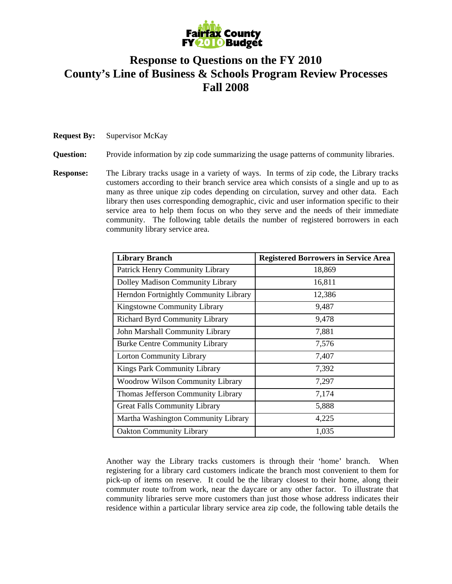

## **Response to Questions on the FY 2010 County's Line of Business & Schools Program Review Processes Fall 2008**

**Request By:** Supervisor McKay

**Question:** Provide information by zip code summarizing the usage patterns of community libraries.

**Response:** The Library tracks usage in a variety of ways. In terms of zip code, the Library tracks customers according to their branch service area which consists of a single and up to as many as three unique zip codes depending on circulation, survey and other data. Each library then uses corresponding demographic, civic and user information specific to their service area to help them focus on who they serve and the needs of their immediate community. The following table details the number of registered borrowers in each community library service area.

| <b>Library Branch</b>                   | <b>Registered Borrowers in Service Area</b> |
|-----------------------------------------|---------------------------------------------|
| Patrick Henry Community Library         | 18,869                                      |
| Dolley Madison Community Library        | 16,811                                      |
| Herndon Fortnightly Community Library   | 12,386                                      |
| Kingstowne Community Library            | 9,487                                       |
| <b>Richard Byrd Community Library</b>   | 9,478                                       |
| John Marshall Community Library         | 7,881                                       |
| <b>Burke Centre Community Library</b>   | 7,576                                       |
| <b>Lorton Community Library</b>         | 7,407                                       |
| Kings Park Community Library            | 7,392                                       |
| <b>Woodrow Wilson Community Library</b> | 7,297                                       |
| Thomas Jefferson Community Library      | 7,174                                       |
| <b>Great Falls Community Library</b>    | 5,888                                       |
| Martha Washington Community Library     | 4,225                                       |
| <b>Oakton Community Library</b>         | 1,035                                       |

Another way the Library tracks customers is through their 'home' branch. When registering for a library card customers indicate the branch most convenient to them for pick-up of items on reserve. It could be the library closest to their home, along their commuter route to/from work, near the daycare or any other factor. To illustrate that community libraries serve more customers than just those whose address indicates their residence within a particular library service area zip code, the following table details the